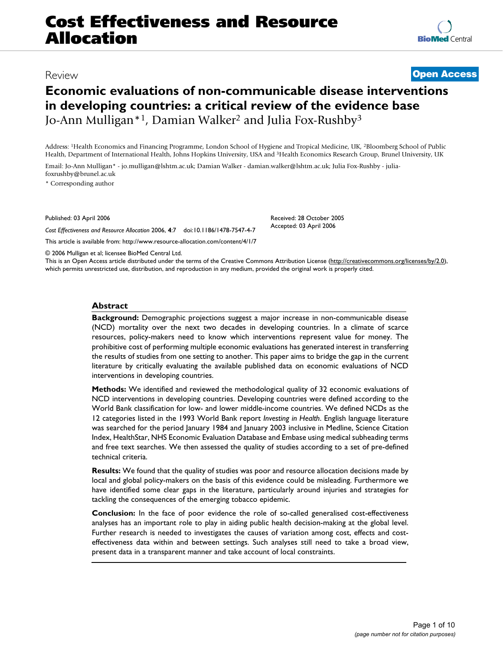# **Cost Effectiveness and Resource Allocation**

## Review **[Open Access](http://www.biomedcentral.com/info/about/charter/)**

## **Economic evaluations of non-communicable disease interventions in developing countries: a critical review of the evidence base** Jo-Ann Mulligan\*1, Damian Walker2 and Julia Fox-Rushby3

Address: 1Health Economics and Financing Programme, London School of Hygiene and Tropical Medicine, UK, 2Bloomberg School of Public Health, Department of International Health, Johns Hopkins University, USA and 3Health Economics Research Group, Brunel University, UK

Email: Jo-Ann Mulligan\* - jo.mulligan@lshtm.ac.uk; Damian Walker - damian.walker@lshtm.ac.uk; Julia Fox-Rushby - juliafoxrushby@brunel.ac.uk

\* Corresponding author

Published: 03 April 2006

*Cost Effectiveness and Resource Allocation* 2006, **4**:7 doi:10.1186/1478-7547-4-7 [This article is available from: http://www.resource-allocation.com/content/4/1/7](http://www.resource-allocation.com/content/4/1/7) Received: 28 October 2005 Accepted: 03 April 2006

© 2006 Mulligan et al; licensee BioMed Central Ltd.

This is an Open Access article distributed under the terms of the Creative Commons Attribution License [\(http://creativecommons.org/licenses/by/2.0\)](http://creativecommons.org/licenses/by/2.0), which permits unrestricted use, distribution, and reproduction in any medium, provided the original work is properly cited.

## **Abstract**

**Background:** Demographic projections suggest a major increase in non-communicable disease (NCD) mortality over the next two decades in developing countries. In a climate of scarce resources, policy-makers need to know which interventions represent value for money. The prohibitive cost of performing multiple economic evaluations has generated interest in transferring the results of studies from one setting to another. This paper aims to bridge the gap in the current literature by critically evaluating the available published data on economic evaluations of NCD interventions in developing countries.

**Methods:** We identified and reviewed the methodological quality of 32 economic evaluations of NCD interventions in developing countries. Developing countries were defined according to the World Bank classification for low- and lower middle-income countries. We defined NCDs as the 12 categories listed in the 1993 World Bank report *Investing in Health*. English language literature was searched for the period January 1984 and January 2003 inclusive in Medline, Science Citation Index, HealthStar, NHS Economic Evaluation Database and Embase using medical subheading terms and free text searches. We then assessed the quality of studies according to a set of pre-defined technical criteria.

**Results:** We found that the quality of studies was poor and resource allocation decisions made by local and global policy-makers on the basis of this evidence could be misleading. Furthermore we have identified some clear gaps in the literature, particularly around injuries and strategies for tackling the consequences of the emerging tobacco epidemic.

**Conclusion:** In the face of poor evidence the role of so-called generalised cost-effectiveness analyses has an important role to play in aiding public health decision-making at the global level. Further research is needed to investigates the causes of variation among cost, effects and costeffectiveness data within and between settings. Such analyses still need to take a broad view, present data in a transparent manner and take account of local constraints.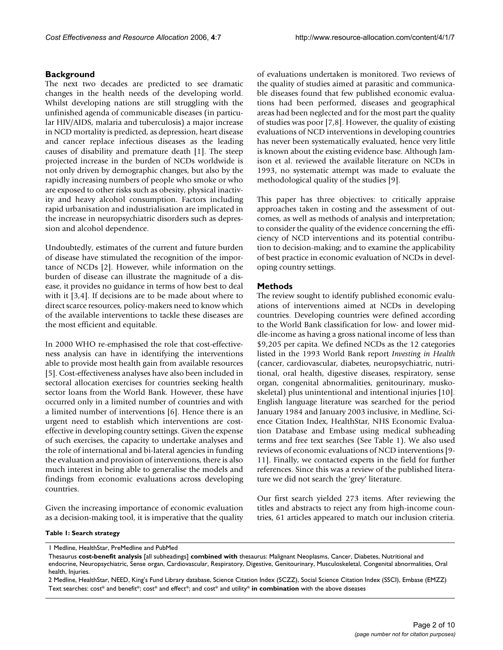## **Background**

The next two decades are predicted to see dramatic changes in the health needs of the developing world. Whilst developing nations are still struggling with the unfinished agenda of communicable diseases (in particular HIV/AIDS, malaria and tuberculosis) a major increase in NCD mortality is predicted, as depression, heart disease and cancer replace infectious diseases as the leading causes of disability and premature death [1]. The steep projected increase in the burden of NCDs worldwide is not only driven by demographic changes, but also by the rapidly increasing numbers of people who smoke or who are exposed to other risks such as obesity, physical inactivity and heavy alcohol consumption. Factors including rapid urbanisation and industrialisation are implicated in the increase in neuropsychiatric disorders such as depression and alcohol dependence.

Undoubtedly, estimates of the current and future burden of disease have stimulated the recognition of the importance of NCDs [2]. However, while information on the burden of disease can illustrate the magnitude of a disease, it provides no guidance in terms of how best to deal with it [3,4]. If decisions are to be made about where to direct scarce resources, policy-makers need to know which of the available interventions to tackle these diseases are the most efficient and equitable.

In 2000 WHO re-emphasised the role that cost-effectiveness analysis can have in identifying the interventions able to provide most health gain from available resources [5]. Cost-effectiveness analyses have also been included in sectoral allocation exercises for countries seeking health sector loans from the World Bank. However, these have occurred only in a limited number of countries and with a limited number of interventions [6]. Hence there is an urgent need to establish which interventions are costeffective in developing country settings. Given the expense of such exercises, the capacity to undertake analyses and the role of international and bi-lateral agencies in funding the evaluation and provision of interventions, there is also much interest in being able to generalise the models and findings from economic evaluations across developing countries.

Given the increasing importance of economic evaluation as a decision-making tool, it is imperative that the quality of evaluations undertaken is monitored. Two reviews of the quality of studies aimed at parasitic and communicable diseases found that few published economic evaluations had been performed, diseases and geographical areas had been neglected and for the most part the quality of studies was poor [7,8]. However, the quality of existing evaluations of NCD interventions in developing countries has never been systematically evaluated, hence very little is known about the existing evidence base. Although Jamison et al. reviewed the available literature on NCDs in 1993, no systematic attempt was made to evaluate the methodological quality of the studies [9].

This paper has three objectives: to critically appraise approaches taken in costing and the assessment of outcomes, as well as methods of analysis and interpretation; to consider the quality of the evidence concerning the efficiency of NCD interventions and its potential contribution to decision-making; and to examine the applicability of best practice in economic evaluation of NCDs in developing country settings.

## **Methods**

The review sought to identify published economic evaluations of interventions aimed at NCDs in developing countries. Developing countries were defined according to the World Bank classification for low- and lower middle-income as having a gross national income of less than \$9,205 per capita. We defined NCDs as the 12 categories listed in the 1993 World Bank report *Investing in Health* (cancer, cardiovascular, diabetes, neuropsychiatric, nutritional, oral health, digestive diseases, respiratory, sense organ, congenital abnormalities, genitourinary, muskoskeletal) plus unintentional and intentional injuries [10]. English language literature was searched for the period January 1984 and January 2003 inclusive, in Medline, Science Citation Index, HealthStar, NHS Economic Evaluation Database and Embase using medical subheading terms and free text searches (See Table 1). We also used reviews of economic evaluations of NCD interventions [9- 11]. Finally, we contacted experts in the field for further references. Since this was a review of the published literature we did not search the 'grey' literature.

Our first search yielded 273 items. After reviewing the titles and abstracts to reject any from high-income countries, 61 articles appeared to match our inclusion criteria.

#### **Table 1: Search strategy**

<sup>1</sup> Medline, HealthStar, PreMedline and PubMed

Thesaurus **cost-benefit analysis** [all subheadings] **combined with** thesaurus: Malignant Neoplasms, Cancer, Diabetes, Nutritional and endocrine, Neuropsychiatric, Sense organ, Cardiovascular, Respiratory, Digestive, Genitourinary, Musculoskeletal, Congenital abnormalities, Oral health, Injuries.

<sup>2</sup> Medline, HealthStar, NEED, King's Fund Library database, Science Citation Index (SCZZ), Social Science Citation Index (SSCI), Embase (EMZZ) Text searches: cost\* and benefit\*; cost\* and effect\*; and cost\* and utility\* **in combination** with the above diseases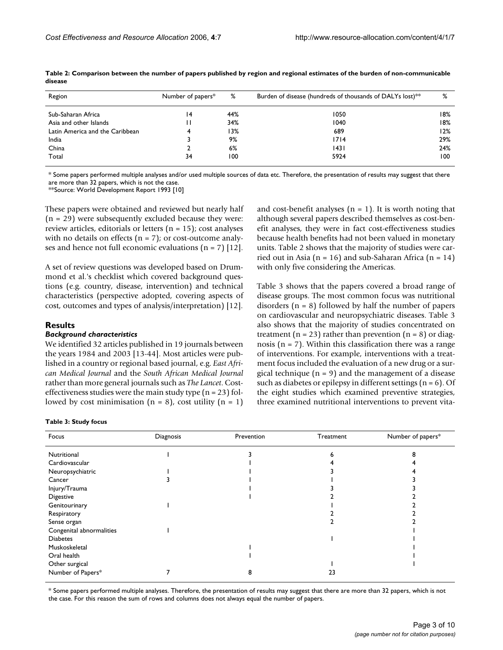| Region                          | Number of papers* | %   | Burden of disease (hundreds of thousands of DALYs lost) <sup>**</sup> | %   |
|---------------------------------|-------------------|-----|-----------------------------------------------------------------------|-----|
| Sub-Saharan Africa              | 14                | 44% | 1050                                                                  | 18% |
| Asia and other Islands          | п                 | 34% | 1040                                                                  | 18% |
| Latin America and the Caribbean |                   | 13% | 689                                                                   | 12% |
| India                           |                   | 9%  | 1714                                                                  | 29% |
| China                           |                   | 6%  | 1431                                                                  | 24% |
| Total                           | 34                | 100 | 5924                                                                  | 100 |

**Table 2: Comparison between the number of papers published by region and regional estimates of the burden of non-communicable disease**

\* Some papers performed multiple analyses and/or used multiple sources of data etc. Therefore, the presentation of results may suggest that there are more than 32 papers, which is not the case.

\*\*Source: World Development Report 1993 [10]

These papers were obtained and reviewed but nearly half (n = 29) were subsequently excluded because they were: review articles, editorials or letters  $(n = 15)$ ; cost analyses with no details on effects ( $n = 7$ ); or cost-outcome analyses and hence not full economic evaluations  $(n = 7)$  [12].

A set of review questions was developed based on Drummond et al.'s checklist which covered background questions (e.g. country, disease, intervention) and technical characteristics (perspective adopted, covering aspects of cost, outcomes and types of analysis/interpretation) [12].

## **Results**

## *Background characteristics*

We identified 32 articles published in 19 journals between the years 1984 and 2003 [13-44]. Most articles were published in a country or regional based journal, e.g. *East African Medical Journal* and the *South African Medical Journal* rather than more general journals such as *The Lancet*. Costeffectiveness studies were the main study type  $(n = 23)$  followed by cost minimisation  $(n = 8)$ , cost utility  $(n = 1)$ 

#### **Table 3: Study focus**

and cost-benefit analyses  $(n = 1)$ . It is worth noting that although several papers described themselves as cost-benefit analyses, they were in fact cost-effectiveness studies because health benefits had not been valued in monetary units. Table 2 shows that the majority of studies were carried out in Asia ( $n = 16$ ) and sub-Saharan Africa ( $n = 14$ ) with only five considering the Americas.

Table 3 shows that the papers covered a broad range of disease groups. The most common focus was nutritional disorders  $(n = 8)$  followed by half the number of papers on cardiovascular and neuropsychiatric diseases. Table 3 also shows that the majority of studies concentrated on treatment ( $n = 23$ ) rather than prevention ( $n = 8$ ) or diagnosis  $(n = 7)$ . Within this classification there was a range of interventions. For example, interventions with a treatment focus included the evaluation of a new drug or a surgical technique  $(n = 9)$  and the management of a disease such as diabetes or epilepsy in different settings ( $n = 6$ ). Of the eight studies which examined preventive strategies, three examined nutritional interventions to prevent vita-

| Focus                    | Diagnosis | Prevention | Treatment | Number of papers* |
|--------------------------|-----------|------------|-----------|-------------------|
| Nutritional              |           |            |           |                   |
| Cardiovascular           |           |            |           |                   |
| Neuropsychiatric         |           |            |           |                   |
| Cancer                   |           |            |           |                   |
| Injury/Trauma            |           |            |           |                   |
| Digestive                |           |            |           |                   |
| Genitourinary            |           |            |           |                   |
| Respiratory              |           |            |           |                   |
| Sense organ              |           |            |           |                   |
| Congenital abnormalities |           |            |           |                   |
| <b>Diabetes</b>          |           |            |           |                   |
| Muskoskeletal            |           |            |           |                   |
| Oral health              |           |            |           |                   |
| Other surgical           |           |            |           |                   |
| Number of Papers*        |           | 8          | 23        |                   |

\* Some papers performed multiple analyses. Therefore, the presentation of results may suggest that there are more than 32 papers, which is not the case. For this reason the sum of rows and columns does not always equal the number of papers.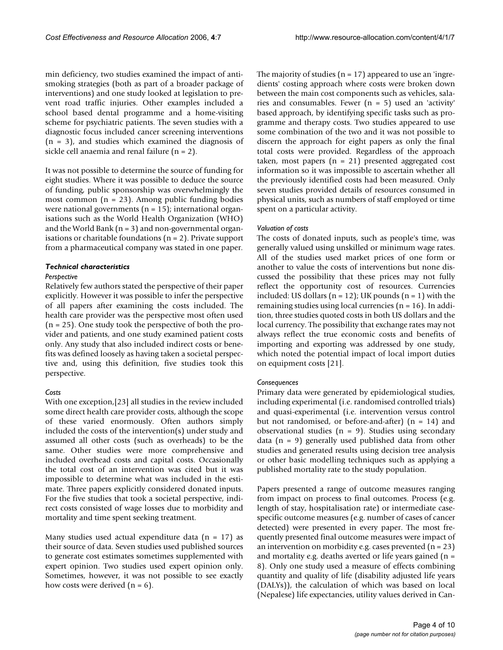min deficiency, two studies examined the impact of antismoking strategies (both as part of a broader package of interventions) and one study looked at legislation to prevent road traffic injuries. Other examples included a school based dental programme and a home-visiting scheme for psychiatric patients. The seven studies with a diagnostic focus included cancer screening interventions  $(n = 3)$ , and studies which examined the diagnosis of sickle cell anaemia and renal failure  $(n = 2)$ .

It was not possible to determine the source of funding for eight studies. Where it was possible to deduce the source of funding, public sponsorship was overwhelmingly the most common  $(n = 23)$ . Among public funding bodies were national governments ( $n = 15$ ); international organisations such as the World Health Organization (WHO) and the World Bank  $(n = 3)$  and non-governmental organisations or charitable foundations ( $n = 2$ ). Private support from a pharmaceutical company was stated in one paper.

## *Technical characteristics*

#### *Perspective*

Relatively few authors stated the perspective of their paper explicitly. However it was possible to infer the perspective of all papers after examining the costs included. The health care provider was the perspective most often used  $(n = 25)$ . One study took the perspective of both the provider and patients, and one study examined patient costs only. Any study that also included indirect costs or benefits was defined loosely as having taken a societal perspective and, using this definition, five studies took this perspective.

### *Costs*

With one exception,[23] all studies in the review included some direct health care provider costs, although the scope of these varied enormously. Often authors simply included the costs of the intervention(s) under study and assumed all other costs (such as overheads) to be the same. Other studies were more comprehensive and included overhead costs and capital costs. Occasionally the total cost of an intervention was cited but it was impossible to determine what was included in the estimate. Three papers explicitly considered donated inputs. For the five studies that took a societal perspective, indirect costs consisted of wage losses due to morbidity and mortality and time spent seeking treatment.

Many studies used actual expenditure data  $(n = 17)$  as their source of data. Seven studies used published sources to generate cost estimates sometimes supplemented with expert opinion. Two studies used expert opinion only. Sometimes, however, it was not possible to see exactly how costs were derived  $(n = 6)$ .

The majority of studies  $(n = 17)$  appeared to use an 'ingredients' costing approach where costs were broken down between the main cost components such as vehicles, salaries and consumables. Fewer  $(n = 5)$  used an 'activity' based approach, by identifying specific tasks such as programme and therapy costs. Two studies appeared to use some combination of the two and it was not possible to discern the approach for eight papers as only the final total costs were provided. Regardless of the approach taken, most papers ( $n = 21$ ) presented aggregated cost information so it was impossible to ascertain whether all the previously identified costs had been measured. Only seven studies provided details of resources consumed in physical units, such as numbers of staff employed or time spent on a particular activity.

#### *Valuation of costs*

The costs of donated inputs, such as people's time, was generally valued using unskilled or minimum wage rates. All of the studies used market prices of one form or another to value the costs of interventions but none discussed the possibility that these prices may not fully reflect the opportunity cost of resources. Currencies included: US dollars ( $n = 12$ ); UK pounds ( $n = 1$ ) with the remaining studies using local currencies ( $n = 16$ ). In addition, three studies quoted costs in both US dollars and the local currency. The possibility that exchange rates may not always reflect the true economic costs and benefits of importing and exporting was addressed by one study, which noted the potential impact of local import duties on equipment costs [21].

#### *Consequences*

Primary data were generated by epidemiological studies, including experimental (i.e. randomised controlled trials) and quasi-experimental (i.e. intervention versus control but not randomised, or before-and-after)  $(n = 14)$  and observational studies  $(n = 9)$ . Studies using secondary data  $(n = 9)$  generally used published data from other studies and generated results using decision tree analysis or other basic modelling techniques such as applying a published mortality rate to the study population.

Papers presented a range of outcome measures ranging from impact on process to final outcomes. Process (e.g. length of stay, hospitalisation rate) or intermediate casespecific outcome measures (e.g. number of cases of cancer detected) were presented in every paper. The most frequently presented final outcome measures were impact of an intervention on morbidity e.g. cases prevented  $(n = 23)$ and mortality e.g. deaths averted or life years gained (n = 8). Only one study used a measure of effects combining quantity and quality of life (disability adjusted life years (DALYs)), the calculation of which was based on local (Nepalese) life expectancies, utility values derived in Can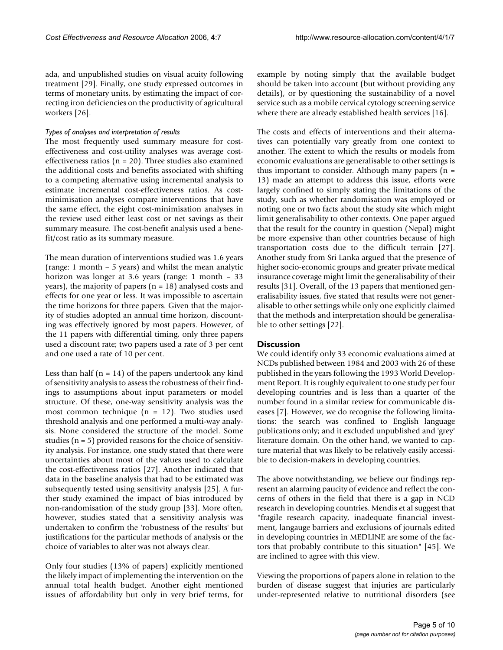ada, and unpublished studies on visual acuity following treatment [29]. Finally, one study expressed outcomes in terms of monetary units, by estimating the impact of correcting iron deficiencies on the productivity of agricultural workers [26].

## *Types of analyses and interpretation of results*

The most frequently used summary measure for costeffectiveness and cost-utility analyses was average costeffectiveness ratios ( $n = 20$ ). Three studies also examined the additional costs and benefits associated with shifting to a competing alternative using incremental analysis to estimate incremental cost-effectiveness ratios. As costminimisation analyses compare interventions that have the same effect, the eight cost-minimisation analyses in the review used either least cost or net savings as their summary measure. The cost-benefit analysis used a benefit/cost ratio as its summary measure.

The mean duration of interventions studied was 1.6 years (range: 1 month – 5 years) and whilst the mean analytic horizon was longer at 3.6 years (range: 1 month – 33 years), the majority of papers  $(n = 18)$  analysed costs and effects for one year or less. It was impossible to ascertain the time horizons for three papers. Given that the majority of studies adopted an annual time horizon, discounting was effectively ignored by most papers. However, of the 11 papers with differential timing, only three papers used a discount rate; two papers used a rate of 3 per cent and one used a rate of 10 per cent.

Less than half  $(n = 14)$  of the papers undertook any kind of sensitivity analysis to assess the robustness of their findings to assumptions about input parameters or model structure. Of these, one-way sensitivity analysis was the most common technique (n = 12). Two studies used threshold analysis and one performed a multi-way analysis. None considered the structure of the model. Some studies ( $n = 5$ ) provided reasons for the choice of sensitivity analysis. For instance, one study stated that there were uncertainties about most of the values used to calculate the cost-effectiveness ratios [27]. Another indicated that data in the baseline analysis that had to be estimated was subsequently tested using sensitivity analysis [25]. A further study examined the impact of bias introduced by non-randomisation of the study group [33]. More often, however, studies stated that a sensitivity analysis was undertaken to confirm the 'robustness of the results' but justifications for the particular methods of analysis or the choice of variables to alter was not always clear.

Only four studies (13% of papers) explicitly mentioned the likely impact of implementing the intervention on the annual total health budget. Another eight mentioned issues of affordability but only in very brief terms, for

example by noting simply that the available budget should be taken into account (but without providing any details), or by questioning the sustainability of a novel service such as a mobile cervical cytology screening service where there are already established health services [16].

The costs and effects of interventions and their alternatives can potentially vary greatly from one context to another. The extent to which the results or models from economic evaluations are generalisable to other settings is thus important to consider. Although many papers  $(n =$ 13) made an attempt to address this issue, efforts were largely confined to simply stating the limitations of the study, such as whether randomisation was employed or noting one or two facts about the study site which might limit generalisability to other contexts. One paper argued that the result for the country in question (Nepal) might be more expensive than other countries because of high transportation costs due to the difficult terrain [27]. Another study from Sri Lanka argued that the presence of higher socio-economic groups and greater private medical insurance coverage might limit the generalisability of their results [31]. Overall, of the 13 papers that mentioned generalisability issues, five stated that results were not generalisable to other settings while only one explicitly claimed that the methods and interpretation should be generalisable to other settings [22].

## **Discussion**

We could identify only 33 economic evaluations aimed at NCDs published between 1984 and 2003 with 26 of these published in the years following the 1993 World Development Report. It is roughly equivalent to one study per four developing countries and is less than a quarter of the number found in a similar review for communicable diseases [7]. However, we do recognise the following limitations: the search was confined to English language publications only; and it excluded unpublished and 'grey' literature domain. On the other hand, we wanted to capture material that was likely to be relatively easily accessible to decision-makers in developing countries.

The above notwithstanding, we believe our findings represent an alarming paucity of evidence and reflect the concerns of others in the field that there is a gap in NCD research in developing countries. Mendis et al suggest that "fragile research capacity, inadequate financial investment, langauge barriers and exclusions of journals edited in developing countries in MEDLINE are some of the factors that probably contribute to this situation" [45]. We are inclined to agree with this view.

Viewing the proportions of papers alone in relation to the burden of disease suggest that injuries are particularly under-represented relative to nutritional disorders (see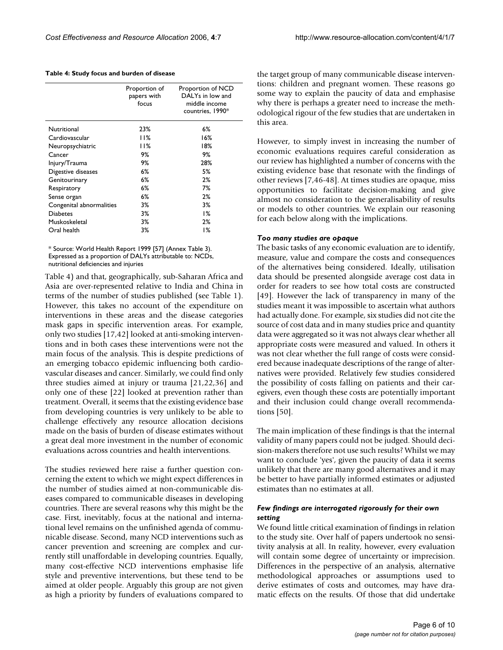|                          | Proportion of<br>papers with<br>focus | Proportion of NCD<br>DALYs in low and<br>middle income<br>countries, 1990* |
|--------------------------|---------------------------------------|----------------------------------------------------------------------------|
| Nutritional              | 23%                                   | 6%                                                                         |
| Cardiovascular           | 11%                                   | 16%                                                                        |
| Neuropsychiatric         | I I %                                 | 18%                                                                        |
| Cancer                   | 9%                                    | 9%                                                                         |
| Injury/Trauma            | 9%                                    | 28%                                                                        |
| Digestive diseases       | 6%                                    | 5%                                                                         |
| Genitourinary            | 6%                                    | 2%                                                                         |
| Respiratory              | 6%                                    | 7%                                                                         |
| Sense organ              | 6%                                    | 2%                                                                         |
| Congenital abnormalities | 3%                                    | 3%                                                                         |
| <b>Diabetes</b>          | 3%                                    | 1%                                                                         |
| Muskoskeletal            | 3%                                    | 2%                                                                         |
| Oral health              | 3%                                    | 1%                                                                         |

#### **Table 4: Study focus and burden of disease**

\* Source: World Health Report 1999 [57] (Annex Table 3). Expressed as a proportion of DALYs attributable to: NCDs, nutritional deficiencies and injuries

Table 4) and that, geographically, sub-Saharan Africa and Asia are over-represented relative to India and China in terms of the number of studies published (see Table 1). However, this takes no account of the expenditure on interventions in these areas and the disease categories mask gaps in specific intervention areas. For example, only two studies [17,42] looked at anti-smoking interventions and in both cases these interventions were not the main focus of the analysis. This is despite predictions of an emerging tobacco epidemic influencing both cardiovascular diseases and cancer. Similarly, we could find only three studies aimed at injury or trauma [21,22,36] and only one of these [22] looked at prevention rather than treatment. Overall, it seems that the existing evidence base from developing countries is very unlikely to be able to challenge effectively any resource allocation decisions made on the basis of burden of disease estimates without a great deal more investment in the number of economic evaluations across countries and health interventions.

The studies reviewed here raise a further question concerning the extent to which we might expect differences in the number of studies aimed at non-communicable diseases compared to communicable diseases in developing countries. There are several reasons why this might be the case. First, inevitably, focus at the national and international level remains on the unfinished agenda of communicable disease. Second, many NCD interventions such as cancer prevention and screening are complex and currently still unaffordable in developing countries. Equally, many cost-effective NCD interventions emphasise life style and preventive interventions, but these tend to be aimed at older people. Arguably this group are not given as high a priority by funders of evaluations compared to the target group of many communicable disease interventions: children and pregnant women. These reasons go some way to explain the paucity of data and emphasise why there is perhaps a greater need to increase the methodological rigour of the few studies that are undertaken in this area.

However, to simply invest in increasing the number of economic evaluations requires careful consideration as our review has highlighted a number of concerns with the existing evidence base that resonate with the findings of other reviews [7,46-48]. At times studies are opaque, miss opportunities to facilitate decision-making and give almost no consideration to the generalisability of results or models to other countries. We explain our reasoning for each below along with the implications.

#### *Too many studies are opaque*

The basic tasks of any economic evaluation are to identify, measure, value and compare the costs and consequences of the alternatives being considered. Ideally, utilisation data should be presented alongside average cost data in order for readers to see how total costs are constructed [49]. However the lack of transparency in many of the studies meant it was impossible to ascertain what authors had actually done. For example, six studies did not cite the source of cost data and in many studies price and quantity data were aggregated so it was not always clear whether all appropriate costs were measured and valued. In others it was not clear whether the full range of costs were considered because inadequate descriptions of the range of alternatives were provided. Relatively few studies considered the possibility of costs falling on patients and their caregivers, even though these costs are potentially important and their inclusion could change overall recommendations [50].

The main implication of these findings is that the internal validity of many papers could not be judged. Should decision-makers therefore not use such results? Whilst we may want to conclude 'yes', given the paucity of data it seems unlikely that there are many good alternatives and it may be better to have partially informed estimates or adjusted estimates than no estimates at all.

## *Few findings are interrogated rigorously for their own setting*

We found little critical examination of findings in relation to the study site. Over half of papers undertook no sensitivity analysis at all. In reality, however, every evaluation will contain some degree of uncertainty or imprecision. Differences in the perspective of an analysis, alternative methodological approaches or assumptions used to derive estimates of costs and outcomes, may have dramatic effects on the results. Of those that did undertake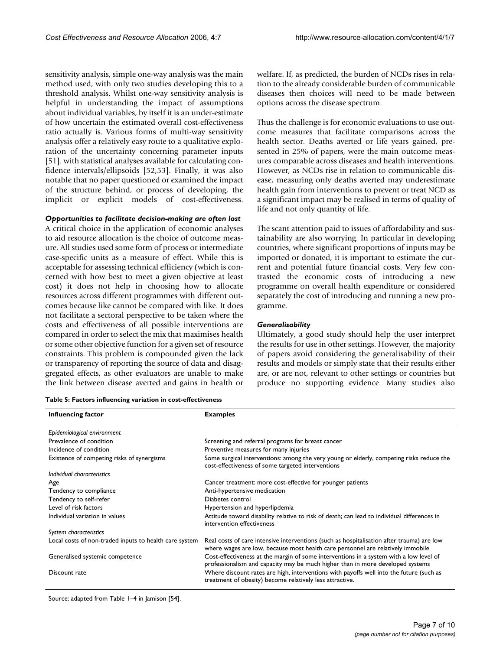sensitivity analysis, simple one-way analysis was the main method used, with only two studies developing this to a threshold analysis. Whilst one-way sensitivity analysis is helpful in understanding the impact of assumptions about individual variables, by itself it is an under-estimate of how uncertain the estimated overall cost-effectiveness ratio actually is. Various forms of multi-way sensitivity analysis offer a relatively easy route to a qualitative exploration of the uncertainty concerning parameter inputs [51]. with statistical analyses available for calculating confidence intervals/ellipsoids [52,53]. Finally, it was also notable that no paper questioned or examined the impact of the structure behind, or process of developing, the implicit or explicit models of cost-effectiveness.

## *Opportunities to facilitate decision-making are often lost*

A critical choice in the application of economic analyses to aid resource allocation is the choice of outcome measure. All studies used some form of process or intermediate case-specific units as a measure of effect. While this is acceptable for assessing technical efficiency (which is concerned with how best to meet a given objective at least cost) it does not help in choosing how to allocate resources across different programmes with different outcomes because like cannot be compared with like. It does not facilitate a sectoral perspective to be taken where the costs and effectiveness of all possible interventions are compared in order to select the mix that maximises health or some other objective function for a given set of resource constraints. This problem is compounded given the lack or transparency of reporting the source of data and disaggregated effects, as other evaluators are unable to make the link between disease averted and gains in health or

|  |  |  | Table 5: Factors influencing variation in cost-effectiveness |  |  |  |
|--|--|--|--------------------------------------------------------------|--|--|--|
|  |  |  |                                                              |  |  |  |

welfare. If, as predicted, the burden of NCDs rises in relation to the already considerable burden of communicable diseases then choices will need to be made between options across the disease spectrum.

Thus the challenge is for economic evaluations to use outcome measures that facilitate comparisons across the health sector. Deaths averted or life years gained, presented in 25% of papers, were the main outcome measures comparable across diseases and health interventions. However, as NCDs rise in relation to communicable disease, measuring only deaths averted may underestimate health gain from interventions to prevent or treat NCD as a significant impact may be realised in terms of quality of life and not only quantity of life.

The scant attention paid to issues of affordability and sustainability are also worrying. In particular in developing countries, where significant proportions of inputs may be imported or donated, it is important to estimate the current and potential future financial costs. Very few contrasted the economic costs of introducing a new programme on overall health expenditure or considered separately the cost of introducing and running a new programme.

## *Generalisability*

Ultimately, a good study should help the user interpret the results for use in other settings. However, the majority of papers avoid considering the generalisability of their results and models or simply state that their results either are, or are not, relevant to other settings or countries but produce no supporting evidence. Many studies also

| Influencing factor                                     | <b>Examples</b>                                                                                                                                                              |
|--------------------------------------------------------|------------------------------------------------------------------------------------------------------------------------------------------------------------------------------|
| Epidemiological environment                            |                                                                                                                                                                              |
| Prevalence of condition                                | Screening and referral programs for breast cancer                                                                                                                            |
| Incidence of condition                                 | Preventive measures for many injuries                                                                                                                                        |
| Existence of competing risks of synergisms             | Some surgical interventions: among the very young or elderly, competing risks reduce the<br>cost-effectiveness of some targeted interventions                                |
| Individual characteristics                             |                                                                                                                                                                              |
| Age                                                    | Cancer treatment: more cost-effective for younger patients                                                                                                                   |
| Tendency to compliance                                 | Anti-hypertensive medication                                                                                                                                                 |
| Tendency to self-refer                                 | Diabetes control                                                                                                                                                             |
| Level of risk factors                                  | Hypertension and hyperlipdemia                                                                                                                                               |
| Individual variation in values                         | Attitude toward disability relative to risk of death; can lead to individual differences in<br>intervention effectiveness                                                    |
| System characteristics                                 |                                                                                                                                                                              |
| Local costs of non-traded inputs to health care system | Real costs of care intensive interventions (such as hospitalisation after trauma) are low<br>where wages are low, because most health care personnel are relatively immobile |
| Generalised systemic competence                        | Cost-effectiveness at the margin of some interventions in a system with a low level of<br>professionalism and capacity may be much higher than in more developed systems     |
| Discount rate                                          | Where discount rates are high, interventions with payoffs well into the future (such as<br>treatment of obesity) become relatively less attractive.                          |

Source: adapted from Table 1–4 in Jamison [54].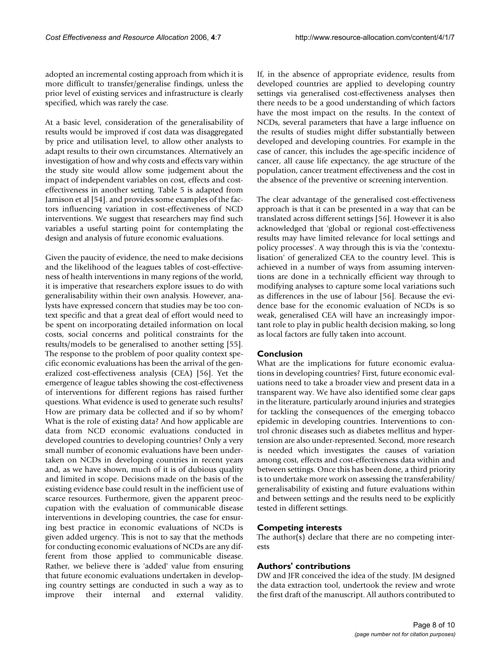adopted an incremental costing approach from which it is more difficult to transfer/generalise findings, unless the prior level of existing services and infrastructure is clearly specified, which was rarely the case.

At a basic level, consideration of the generalisability of results would be improved if cost data was disaggregated by price and utilisation level, to allow other analysts to adapt results to their own circumstances. Alternatively an investigation of how and why costs and effects vary within the study site would allow some judgement about the impact of independent variables on cost, effects and costeffectiveness in another setting. Table 5 is adapted from Jamison et al [54]. and provides some examples of the factors influencing variation in cost-effectiveness of NCD interventions. We suggest that researchers may find such variables a useful starting point for contemplating the design and analysis of future economic evaluations.

Given the paucity of evidence, the need to make decisions and the likelihood of the leagues tables of cost-effectiveness of health interventions in many regions of the world, it is imperative that researchers explore issues to do with generalisability within their own analysis. However, analysts have expressed concern that studies may be too context specific and that a great deal of effort would need to be spent on incorporating detailed information on local costs, social concerns and political constraints for the results/models to be generalised to another setting [55]. The response to the problem of poor quality context specific economic evaluations has been the arrival of the generalized cost-effectiveness analysis (CEA) [56]. Yet the emergence of league tables showing the cost-effectiveness of interventions for different regions has raised further questions. What evidence is used to generate such results? How are primary data be collected and if so by whom? What is the role of existing data? And how applicable are data from NCD economic evaluations conducted in developed countries to developing countries? Only a very small number of economic evaluations have been undertaken on NCDs in developing countries in recent years and, as we have shown, much of it is of dubious quality and limited in scope. Decisions made on the basis of the existing evidence base could result in the inefficient use of scarce resources. Furthermore, given the apparent preoccupation with the evaluation of communicable disease interventions in developing countries, the case for ensuring best practice in economic evaluations of NCDs is given added urgency. This is not to say that the methods for conducting economic evaluations of NCDs are any different from those applied to communicable disease. Rather, we believe there is 'added' value from ensuring that future economic evaluations undertaken in developing country settings are conducted in such a way as to improve their internal and external validity.

If, in the absence of appropriate evidence, results from developed countries are applied to developing country settings via generalised cost-effectiveness analyses then there needs to be a good understanding of which factors have the most impact on the results. In the context of NCDs, several parameters that have a large influence on the results of studies might differ substantially between developed and developing countries. For example in the case of cancer, this includes the age-specific incidence of cancer, all cause life expectancy, the age structure of the population, cancer treatment effectiveness and the cost in the absence of the preventive or screening intervention.

The clear advantage of the generalised cost-effectiveness approach is that it can be presented in a way that can be translated across different settings [56]. However it is also acknowledged that 'global or regional cost-effectiveness results may have limited relevance for local settings and policy processes'. A way through this is via the 'contextulisation' of generalized CEA to the country level. This is achieved in a number of ways from assuming interventions are done in a technically efficient way through to modifying analyses to capture some local variations such as differences in the use of labour [56]. Because the evidence base for the economic evaluation of NCDs is so weak, generalised CEA will have an increasingly important role to play in public health decision making, so long as local factors are fully taken into account.

## **Conclusion**

What are the implications for future economic evaluations in developing countries? First, future economic evaluations need to take a broader view and present data in a transparent way. We have also identified some clear gaps in the literature, particularly around injuries and strategies for tackling the consequences of the emerging tobacco epidemic in developing countries. Interventions to control chronic diseases such as diabetes mellitus and hypertension are also under-represented. Second, more research is needed which investigates the causes of variation among cost, effects and cost-effectiveness data within and between settings. Once this has been done, a third priority is to undertake more work on assessing the transferability/ generalisability of existing and future evaluations within and between settings and the results need to be explicitly tested in different settings.

## **Competing interests**

The author(s) declare that there are no competing interests

## **Authors' contributions**

DW and JFR conceived the idea of the study. JM designed the data extraction tool, undertook the review and wrote the first draft of the manuscript. All authors contributed to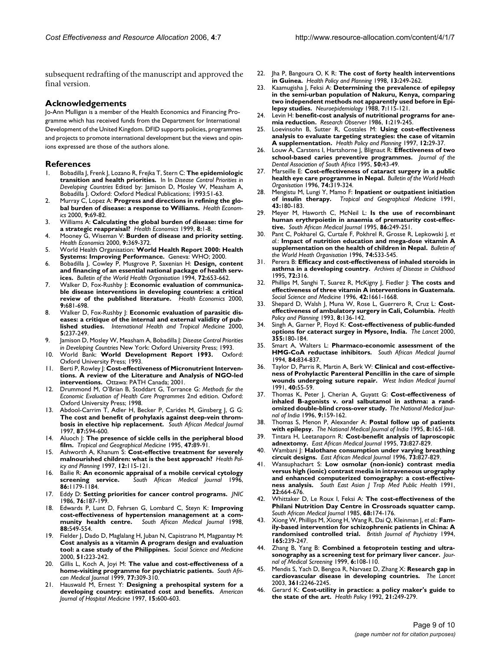subsequent redrafting of the manuscript and approved the final version.

## **Acknowledgements**

Jo-Ann Mulligan is a member of the Health Economics and Financing Programme which has received funds from the Department for International Development of the United Kingdom. DFID supports policies, programmes and projects to promote international development but the views and opinions expressed are those of the authors alone.

#### **References**

- 1. Bobadilla J, Frenk J, Lozano R, Frejka T, Stern C: **The epidemiologic transition and health priorities.** In In *Disease Control Priorities in Developing Countries* Edited by: Jamison D, Mosley W, Measham A, Bobadilla J. Oxford: Oxford Medical Publications; 1993:51-63.
- 2. Murray C, Lopez A: **[Progress and directions in refining the glo](http://www.ncbi.nlm.nih.gov/entrez/query.fcgi?cmd=Retrieve&db=PubMed&dopt=Abstract&list_uids=10694761)[bal burden of disease: a response to Williams.](http://www.ncbi.nlm.nih.gov/entrez/query.fcgi?cmd=Retrieve&db=PubMed&dopt=Abstract&list_uids=10694761)** *Health Economics* 2000, **9:**69-82.
- 3. Williams A: **[Calculating the global burden of disease: time for](http://www.ncbi.nlm.nih.gov/entrez/query.fcgi?cmd=Retrieve&db=PubMed&dopt=Abstract&list_uids=10082139) [a strategic reappraisal?](http://www.ncbi.nlm.nih.gov/entrez/query.fcgi?cmd=Retrieve&db=PubMed&dopt=Abstract&list_uids=10082139)** *Health Economics* 1999, **8:**1-8.
- 4. Mooney G, Wiseman V: **[Burden of disease and priority setting.](http://www.ncbi.nlm.nih.gov/entrez/query.fcgi?cmd=Retrieve&db=PubMed&dopt=Abstract&list_uids=10903537)** *Health Economics* 2000, **9:**369-372.
- 5. World Health Organisation: **World Health Report 2000: Health Systems: Improving Performance.** Geneva: WHO; 2000.
- 6. Bobadilla J, Cowley P, Musgrove P, Saxenian H: **Design, content and financing of an essential national package of health services.** *Bulletin of the World Health Organisation* 1994, **72:**653-662.
- 7. Walker D, Fox-Rushby J: **[Economic evaluation of communica](http://www.ncbi.nlm.nih.gov/entrez/query.fcgi?cmd=Retrieve&db=PubMed&dopt=Abstract&list_uids=11137950)[ble disease interventions in developing countries: a critical](http://www.ncbi.nlm.nih.gov/entrez/query.fcgi?cmd=Retrieve&db=PubMed&dopt=Abstract&list_uids=11137950) [review of the published literature.](http://www.ncbi.nlm.nih.gov/entrez/query.fcgi?cmd=Retrieve&db=PubMed&dopt=Abstract&list_uids=11137950)** *Health Economics* 2000, **9:**681-698.
- 8. Walker D, Fox-Rushby J: **Economic evaluation of parasitic diseases: a critique of the internal and external validity of published studies.** *International Health and Tropical Medicine* 2000, **5:**237-249.
- 9. Jamison D, Mosley W, Measham A, Bobadilla J: *Disease Control Priorities in Developing Countries* New York: Oxford University Press; 1993.
- 10. World Bank: **World Development Report 1993.** Oxford: Oxford University Press; 1993.
- 11. Berti P, Rowley |: Cost-effectiveness of Micronutrient Interven**tions. A review of the Literature and Analysis of NGO-led interventions.** Ottawa: PATH Canada; 2001.
- 12. Drummond M, O'Brian B, Stoddart G, Torrance G: *Methods for the Economic Evaluation of Health Care Programmes* 2nd edition. Oxford: Oxford University Press; 1998.
- 13. Abdool-Carrim T, Adler H, Becker P, Carides M, Ginsberg J, G G: **[The cost and benefit of prohylaxis against deep-vein throm](http://www.ncbi.nlm.nih.gov/entrez/query.fcgi?cmd=Retrieve&db=PubMed&dopt=Abstract&list_uids=9254816)[bosis in elective hip replacement.](http://www.ncbi.nlm.nih.gov/entrez/query.fcgi?cmd=Retrieve&db=PubMed&dopt=Abstract&list_uids=9254816)** *South African Medical Journal* 1997, **87:**594-600.
- 14. Aluoch J: **The presence of sickle cells in the peripheral blood film.** *Tropical and Geographical Medicine* 1995, **47:**89-91.
- 15. Ashworth A, Khanum S: **Cost-effective treatment for severely malnourished children: what is the best approach?** *Health Policy and Planning* 1997, **12:**115-121.
- 16. Bailie R: **[An economic appraisal of a mobile cervical cytology](http://www.ncbi.nlm.nih.gov/entrez/query.fcgi?cmd=Retrieve&db=PubMed&dopt=Abstract&list_uids=9180780) [screening service.](http://www.ncbi.nlm.nih.gov/entrez/query.fcgi?cmd=Retrieve&db=PubMed&dopt=Abstract&list_uids=9180780)** *South African Medical Journal* 1996, **86:**1179-1184.
- 17. Eddy D: **Setting priorities for cancer control programs.** *JNIC* 1986, **76:**187-199.
- 18. Edwards P, Lunt D, Fehrsen G, Lombard C, Steyn K: **[Improving](http://www.ncbi.nlm.nih.gov/entrez/query.fcgi?cmd=Retrieve&db=PubMed&dopt=Abstract&list_uids=9638122) [cost-effectiveness of hypertension management at a com](http://www.ncbi.nlm.nih.gov/entrez/query.fcgi?cmd=Retrieve&db=PubMed&dopt=Abstract&list_uids=9638122)[munity health centre.](http://www.ncbi.nlm.nih.gov/entrez/query.fcgi?cmd=Retrieve&db=PubMed&dopt=Abstract&list_uids=9638122)** *South African Medical Journal* 1998, **88:**549-554.
- 19. Fielder J, Dado D, Maglalang H, Juban N, Capistrano M, Magpantay M: **Cost analysis as a vitamin A program design and evaluation tool: a case study of the Philippines.** *Social Science and Medicine* 2000, **51:**223-242.
- 20. Gillis L, Koch A, Joyi M: **The value and cost-effectiveness of a home-visiting programme for psychiatric patients.** *South African Medical Journal* 1999, **77:**309-310.
- 21. Hauswald M, Ernest Y: **Designing a prehospital system for a developing country: estimated cost and benefits.** *American Journal of Hospital Medicine* 1997, **15:**600-603.
- 22. Jha P, Bangoura O, K R: **The cost of forty health interventions in Guinea.** *Health Policy and Planning* 1998, **13:**249-262.
- 23. Kaamugisha J, Feksi A: **[Determining the prevalence of epilepsy](http://www.ncbi.nlm.nih.gov/entrez/query.fcgi?cmd=Retrieve&db=PubMed&dopt=Abstract&list_uids=3136404) in the semi-urban population of Nakuru, Kenya, comparing [two independent methods not apparently used before in Epi](http://www.ncbi.nlm.nih.gov/entrez/query.fcgi?cmd=Retrieve&db=PubMed&dopt=Abstract&list_uids=3136404)[lepsy studies.](http://www.ncbi.nlm.nih.gov/entrez/query.fcgi?cmd=Retrieve&db=PubMed&dopt=Abstract&list_uids=3136404)** *Neuroepidemiology* 1988, **7:**115-121.
- 24. Levin H: **benefit-cost analysis of nutritional programs for anemia reduction.** *Research Observer* 1986, **1:**219-245.
- 25. Loevinsohn B, Sutter R, Costales M: **Using cost-effectiveness analysis to evaluate targeting strategies: the case of vitamin A supplementation.** *Health Policy and Planning* 1997, **12:**29-37.
- 26. Louw A, Carstens I, Hartshorne J, Blignaut R: **[Effectiveness of two](http://www.ncbi.nlm.nih.gov/entrez/query.fcgi?cmd=Retrieve&db=PubMed&dopt=Abstract&list_uids=8613581) [school-based caries preventive programmes.](http://www.ncbi.nlm.nih.gov/entrez/query.fcgi?cmd=Retrieve&db=PubMed&dopt=Abstract&list_uids=8613581)** *Journal of the Dental Association of South Africa* 1995, **50:**43-49.
- 27. Marseille E: **Cost-effectiveness of cataract surgery in a public health eye care programme in Nepal.** *Bulletin of the World Heath Organisation* 1996, **74:**319-324.
- 28. Mengistu M, Lungi Y, Mamo F: **Inpatient or outpatient initiation of insulin therapy.** *Tropical and Geographical Medicine* 1991, **43:**180-183.
- 29. Meyer M, Haworth C, McNeil L: **Is the use of recombinant human erythrpoietin in anaemia of prematurity cost-effective.** *South African Medical Journal* 1995, **86:**249-251.
- 30. Pant C, Pokharel G, Curtale F, Pokhrel R, Grosse R, Lepkowski J, *et al.*: **Impact of nutrition education and mega-dose vitamin A supplementation on the health of children in Nepal.** *Bulletin of the World Heath Organisation* 1996, **74:**533-545.
- 31. Perera B: **Efficacy and cost-effectiveness of inhaled steroids in asthma in a developing country.** *Archives of Disease in Childhood* 1995, **72:**316.
- 32. Phillips M, Sanghi T, Suarez R, McKigny J, Fiedler J: **The costs and effectiveness of three vitamin A interventions in Guatemala.** *Social Science and Medicine* 1996, **42:**1661-1668.
- 33. Shepard D, Walsh J, Muna W, Rose L, Guerrero R, Cruz L: **Costeffectiveness of ambulatory surgery in Cali, Columbia.** *Health Policy and Planning* 1993, **8:**136-142.
- 34. Singh A, Garner P, Floyd K: **Cost-effectiveness of public-funded options for cateract surgey in Mysore, India.** *The Lancet* 2000, **355:**180-184.
- 35. Smart A, Walters L: **[Pharmaco-economic assessment of the](http://www.ncbi.nlm.nih.gov/entrez/query.fcgi?cmd=Retrieve&db=PubMed&dopt=Abstract&list_uids=7570232) [HMG-CoA reductase inhibitors.](http://www.ncbi.nlm.nih.gov/entrez/query.fcgi?cmd=Retrieve&db=PubMed&dopt=Abstract&list_uids=7570232)** *South African Medical Journal* 1994, **84:**834-837.
- 36. Taylor D, Parris R, Martin A, Berk W: **[Clinical and cost-effective](http://www.ncbi.nlm.nih.gov/entrez/query.fcgi?cmd=Retrieve&db=PubMed&dopt=Abstract&list_uids=1910228)[ness of Prohylactic Parenteral Pencillin in the care of simple](http://www.ncbi.nlm.nih.gov/entrez/query.fcgi?cmd=Retrieve&db=PubMed&dopt=Abstract&list_uids=1910228) [wounds undergoing suture repair.](http://www.ncbi.nlm.nih.gov/entrez/query.fcgi?cmd=Retrieve&db=PubMed&dopt=Abstract&list_uids=1910228)** *West Indian Medical Journal* 1991, **40:**55-59.
- 37. Thomas K, Peter J, Cherian A, Guyatt G: **[Cost-effectiveness of](http://www.ncbi.nlm.nih.gov/entrez/query.fcgi?cmd=Retrieve&db=PubMed&dopt=Abstract&list_uids=8772331) [inhaled B-agonists v. oral salbutamol in asthma: a rand](http://www.ncbi.nlm.nih.gov/entrez/query.fcgi?cmd=Retrieve&db=PubMed&dopt=Abstract&list_uids=8772331)[omized double-blind cross-over study.](http://www.ncbi.nlm.nih.gov/entrez/query.fcgi?cmd=Retrieve&db=PubMed&dopt=Abstract&list_uids=8772331)** *The National Medical Journal of India* 1996, **9:**159-162.
- 38. Thomas S, Menon P, Alexander A: **[Postal follow up of patients](http://www.ncbi.nlm.nih.gov/entrez/query.fcgi?cmd=Retrieve&db=PubMed&dopt=Abstract&list_uids=7633311) [with epilepsy.](http://www.ncbi.nlm.nih.gov/entrez/query.fcgi?cmd=Retrieve&db=PubMed&dopt=Abstract&list_uids=7633311)** *The National Medical Journal of India* 1995, **8:**165-168.
- 39. Tintara H, Leetanaporn R: **Cost-benefit analysis of laproscopic adnextomy.** *East African Medical Journal* 1995, **73:**827-829.
- 40. Wambani J: **[Halothane consumption under varying breathing](http://www.ncbi.nlm.nih.gov/entrez/query.fcgi?cmd=Retrieve&db=PubMed&dopt=Abstract&list_uids=9103695) [circuit designs.](http://www.ncbi.nlm.nih.gov/entrez/query.fcgi?cmd=Retrieve&db=PubMed&dopt=Abstract&list_uids=9103695)** *East African Medical Journal* 1996, **73:**827-829.
- 41. Wansuphachart S: **Low osmolar (non-ionic) contrast media versus high (ionic) contrast media in intraveneous urography and enhanced computerized tomography: a cost-effectiveness analysis.** *South East Asian J Trop Med Public Health* 1991, **22:**664-676.
- 42. Whittaker D, Le Roux I, Feksi A: **[The cost-effectiveness of the](http://www.ncbi.nlm.nih.gov/entrez/query.fcgi?cmd=Retrieve&db=PubMed&dopt=Abstract&list_uids=3927496) [Philani Nutrition Day Centre in Crossroads squatter camp.](http://www.ncbi.nlm.nih.gov/entrez/query.fcgi?cmd=Retrieve&db=PubMed&dopt=Abstract&list_uids=3927496)** *South African Medical Journal* 1985, **68:**174-176.
- 43. Xiong W, Phillips M, Xiong H, Wang R, Dai Q, Kleinman J, *et al.*: **[Fam](http://www.ncbi.nlm.nih.gov/entrez/query.fcgi?cmd=Retrieve&db=PubMed&dopt=Abstract&list_uids=7953039)[ily-based intervention for schizophrenic patients in China: A](http://www.ncbi.nlm.nih.gov/entrez/query.fcgi?cmd=Retrieve&db=PubMed&dopt=Abstract&list_uids=7953039) [randomised controlled trial.](http://www.ncbi.nlm.nih.gov/entrez/query.fcgi?cmd=Retrieve&db=PubMed&dopt=Abstract&list_uids=7953039)** *British Journal of Psychiatry* 1994, **165:**239-247.
- 44. Zhang B, Yang B: **[Combined a fetoprotein testing and ultra](http://www.ncbi.nlm.nih.gov/entrez/query.fcgi?cmd=Retrieve&db=PubMed&dopt=Abstract&list_uids=10444731)[sonography as a screening test for primary liver cancer.](http://www.ncbi.nlm.nih.gov/entrez/query.fcgi?cmd=Retrieve&db=PubMed&dopt=Abstract&list_uids=10444731)** *Journal of Medical Screening* 1999, **6:**108-110.
- 45. Mendis S, Yach D, Bengoa R, Narvaez D, Zhang X: **Research gap in cardiovascular disease in developing countries.** *The Lancet* 2003, **361:**2246-2245.
- 46. Gerard K: **[Cost-utility in practice: a policy maker's guide to](http://www.ncbi.nlm.nih.gov/entrez/query.fcgi?cmd=Retrieve&db=PubMed&dopt=Abstract&list_uids=10120196) [the state of the art.](http://www.ncbi.nlm.nih.gov/entrez/query.fcgi?cmd=Retrieve&db=PubMed&dopt=Abstract&list_uids=10120196)** *Health Policy* 1992, **21:**249-279.